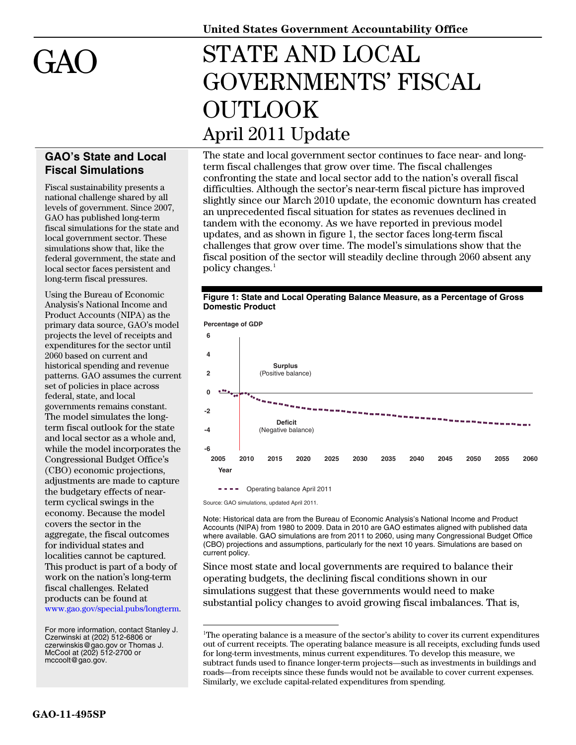

## **GAO's State and Local Fiscal Simulations**

Fiscal sustainability presents a national challenge shared by all levels of government. Since 2007, GAO has published long-term fiscal simulations for the state and local government sector. These simulations show that, like the federal government, the state and local sector faces persistent and long-term fiscal pressures.

Using the Bureau of Economic Analysis's National Income and Product Accounts (NIPA) as the primary data source, GAO's model projects the level of receipts and expenditures for the sector until 2060 based on current and historical spending and revenue patterns. GAO assumes the current set of policies in place across federal, state, and local governments remains constant. The model simulates the longterm fiscal outlook for the state and local sector as a whole and, while the model incorporates the Congressional Budget Office's (CBO) economic projections, adjustments are made to capture the budgetary effects of nearterm cyclical swings in the economy. Because the model covers the sector in the aggregate, the fiscal outcomes for individual states and localities cannot be captured. This product is part of a body of work on the nation's long-term fiscal challenges. Related products can be found at [www.gao.gov/special.pubs/longterm](http://www.gao.gov/special.pubs/longterm/).

<span id="page-0-0"></span>For more information, contact Stanley J. Czerwinski at (202) 512-6806 or [czerwinskis@gao.gov](mailto:czerwinskis@gao.gov) or Thomas J. McCool at (202) 512-2700 or [mccoolt@gao.gov.](mailto:mccoolt@gao.gov)

**United States Government Accountability Office** 

## STATE AND LOCAL GOVERNMENTS' FISCAL OUTLOOK April 2011 Update

The state and local government sector continues to face near- and longterm fiscal challenges that grow over time. The fiscal challenges confronting the state and local sector add to the nation's overall fiscal difficulties. Although the sector's near-term fiscal picture has improved slightly since our March 2010 update, the economic downturn has created an unprecedented fiscal situation for states as revenues declined in tandem with the economy. As we have reported in previous model updates, and as shown in figure 1, the sector faces long-term fiscal challenges that grow over time. The model's simulations show that the fiscal position of the sector will steadily decline through 2060 absent any policy changes.<sup>[1](#page-0-0)</sup>





Source: GAO simulations, updated April 2011.

1

Note: Historical data are from the Bureau of Economic Analysis's National Income and Product Accounts (NIPA) from 1980 to 2009. Data in 2010 are GAO estimates aligned with published data where available. GAO simulations are from 2011 to 2060, using many Congressional Budget Office (CBO) projections and assumptions, particularly for the next 10 years. Simulations are based on current policy.

Since most state and local governments are required to balance their operating budgets, the declining fiscal conditions shown in our simulations suggest that these governments would need to make substantial policy changes to avoid growing fiscal imbalances. That is,

<sup>1</sup>The operating balance is a measure of the sector's ability to cover its current expenditures out of current receipts. The operating balance measure is all receipts, excluding funds used for long-term investments, minus current expenditures. To develop this measure, we subtract funds used to finance longer-term projects—such as investments in buildings and roads—from receipts since these funds would not be available to cover current expenses. Similarly, we exclude capital-related expenditures from spending.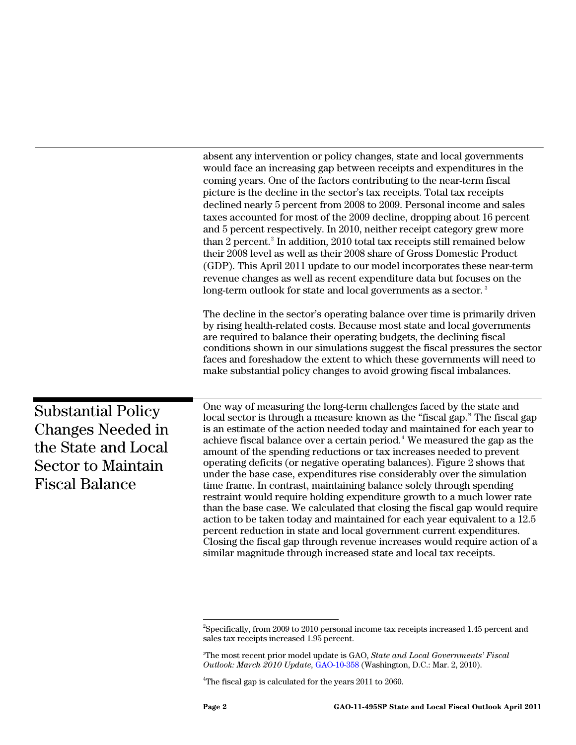absent any intervention or policy changes, state and local governments would face an increasing gap between receipts and expenditures in the coming years. One of the factors contributing to the near-term fiscal picture is the decline in the sector's tax receipts. Total tax receipts declined nearly 5 percent from 2008 to 2009. Personal income and sales taxes accounted for most of the 2009 decline, dropping about 16 percent and 5 percent respectively. In 2010, neither receipt category grew more than [2](#page-1-0) percent.<sup>2</sup> In addition, 2010 total tax receipts still remained below their 2008 level as well as their 2008 share of Gross Domestic Product (GDP). This April 2011 update to our model incorporates these near-term revenue changes as well as recent expenditure data but focuses on the long-term outlook for state and local governments as a sector.<sup>[3](#page-1-1)</sup>

The decline in the sector's operating balance over time is primarily driven by rising health-related costs. Because most state and local governments are required to balance their operating budgets, the declining fiscal conditions shown in our simulations suggest the fiscal pressures the sector faces and foreshadow the extent to which these governments will need to make substantial policy changes to avoid growing fiscal imbalances.

Substantial Policy Changes Needed in the State and Local Sector to Maintain Fiscal Balance

One way of measuring the long-term challenges faced by the state and local sector is through a measure known as the "fiscal gap." The fiscal gap is an estimate of the action needed today and maintained for each year to achieve fiscal balance over a certain period.<sup>[4](#page-1-2)</sup> We measured the gap as the amount of the spending reductions or tax increases needed to prevent operating deficits (or negative operating balances). Figure 2 shows that under the base case, expenditures rise considerably over the simulation time frame. In contrast, maintaining balance solely through spending restraint would require holding expenditure growth to a much lower rate than the base case. We calculated that closing the fiscal gap would require action to be taken today and maintained for each year equivalent to a 12.5 percent reduction in state and local government current expenditures. Closing the fiscal gap through revenue increases would require action of a similar magnitude through increased state and local tax receipts.

 $\overline{\phantom{a}}$ 

<span id="page-1-0"></span> $^{2}$ Specifically, from 2009 to 2010 personal income tax receipts increased 1.45 percent and sales tax receipts increased 1.95 percent.

<span id="page-1-1"></span><sup>3</sup> The most recent prior model update is GAO, *State and Local Governments' Fiscal Outlook: March 2010 Update*, [GAO-10-358](http://www.gao.gov/products/GAO-09-358) (Washington, D.C.: Mar. 2, 2010).

<span id="page-1-2"></span> $4$ The fiscal gap is calculated for the years  $2011$  to  $2060$ .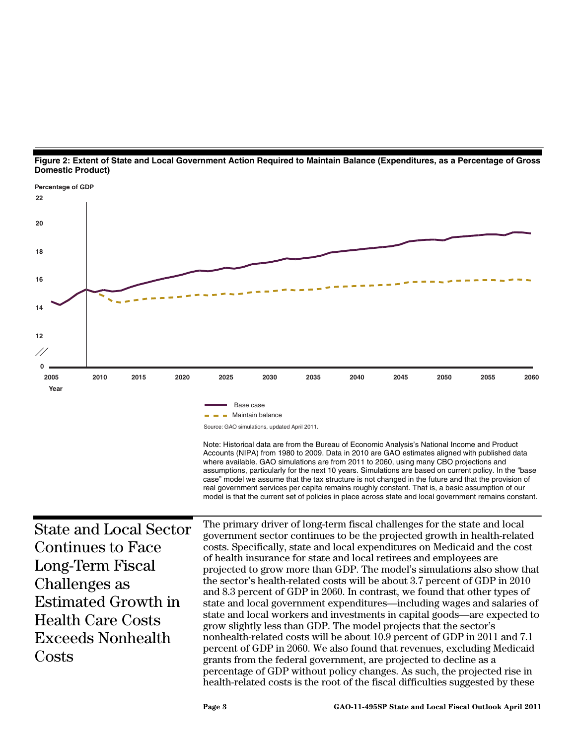



health-related costs is the root of the fiscal difficulties suggested by these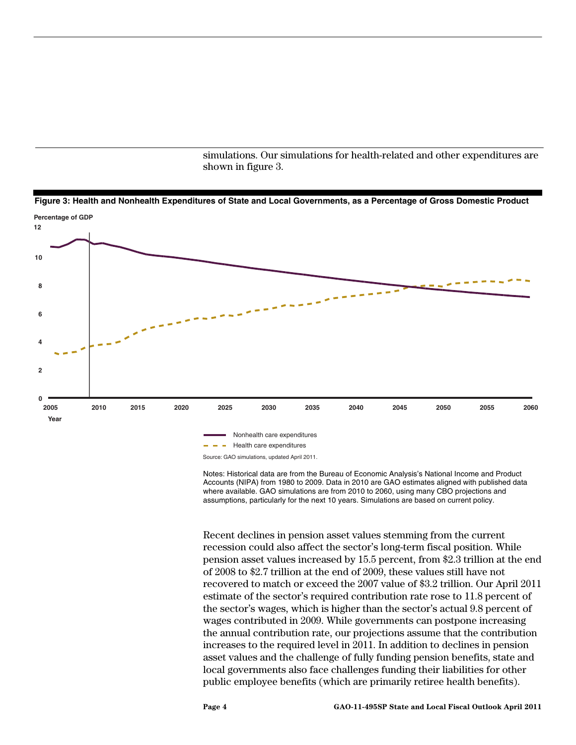simulations. Our simulations for health-related and other expenditures are shown in figure 3.





Notes: Historical data are from the Bureau of Economic Analysis's National Income and Product Accounts (NIPA) from 1980 to 2009. Data in 2010 are GAO estimates aligned with published data where available. GAO simulations are from 2010 to 2060, using many CBO projections and assumptions, particularly for the next 10 years. Simulations are based on current policy.

Recent declines in pension asset values stemming from the current recession could also affect the sector's long-term fiscal position. While pension asset values increased by 15.5 percent, from \$2.3 trillion at the end of 2008 to \$2.7 trillion at the end of 2009, these values still have not recovered to match or exceed the 2007 value of \$3.2 trillion. Our April 2011 estimate of the sector's required contribution rate rose to 11.8 percent of the sector's wages, which is higher than the sector's actual 9.8 percent of wages contributed in 2009. While governments can postpone increasing the annual contribution rate, our projections assume that the contribution increases to the required level in 2011. In addition to declines in pension asset values and the challenge of fully funding pension benefits, state and local governments also face challenges funding their liabilities for other public employee benefits (which are primarily retiree health benefits).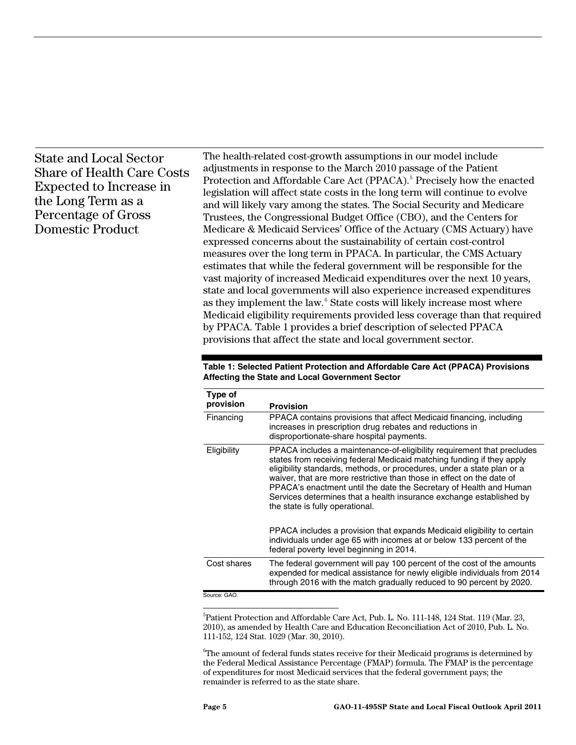## State and Local Sector Share of Health Care Costs Expected to Increase in the Long Term as a Percentage of Gross Domestic Product

The health-related cost-growth assumptions in our model include adjustments in response to the March 2010 passage of the Patient Protection and Affordable Care Act (PPACA).<sup>[5](#page-4-0)</sup> Precisely how the enacted legislation will affect state costs in the long term will continue to evolve and will likely vary among the states. The Social Security and Medicare Trustees, the Congressional Budget Office (CBO), and the Centers for Medicare & Medicaid Services' Office of the Actuary (CMS Actuary) have expressed concerns about the sustainability of certain cost-control measures over the long term in PPACA. In particular, the CMS Actuary estimates that while the federal government will be responsible for the vast majority of increased Medicaid expenditures over the next 10 years, state and local governments will also experience increased expenditures as they implement the law.<sup>[6](#page-4-1)</sup> State costs will likely increase most where Medicaid eligibility requirements provided less coverage than that required by PPACA. Table 1 provides a brief description of selected PPACA provisions that affect the state and local government sector.

| Table 1: Selected Patient Protection and Affordable Care Act (PPACA) Provisions |
|---------------------------------------------------------------------------------|
| Affecting the State and Local Government Sector                                 |

| Type of<br>provision | <b>Provision</b>                                                                                                                                                                                                                                                                                                                                                                                                                                                                   |
|----------------------|------------------------------------------------------------------------------------------------------------------------------------------------------------------------------------------------------------------------------------------------------------------------------------------------------------------------------------------------------------------------------------------------------------------------------------------------------------------------------------|
| Financing            | PPACA contains provisions that affect Medicaid financing, including<br>increases in prescription drug rebates and reductions in<br>disproportionate-share hospital payments.                                                                                                                                                                                                                                                                                                       |
| Eligibility          | PPACA includes a maintenance-of-eligibility requirement that precludes<br>states from receiving federal Medicaid matching funding if they apply<br>eligibility standards, methods, or procedures, under a state plan or a<br>waiver, that are more restrictive than those in effect on the date of<br>PPACA's enactment until the date the Secretary of Health and Human<br>Services determines that a health insurance exchange established by<br>the state is fully operational. |
|                      | PPACA includes a provision that expands Medicaid eligibility to certain<br>individuals under age 65 with incomes at or below 133 percent of the<br>federal poverty level beginning in 2014.                                                                                                                                                                                                                                                                                        |
| Cost shares          | The federal government will pay 100 percent of the cost of the amounts<br>expended for medical assistance for newly eligible individuals from 2014<br>through 2016 with the match gradually reduced to 90 percent by 2020.                                                                                                                                                                                                                                                         |
| Source: GAO.         |                                                                                                                                                                                                                                                                                                                                                                                                                                                                                    |

<span id="page-4-0"></span><sup>5</sup>Patient Protection and Affordable Care Act, Pub. L. No. 111-148, 124 Stat. 119 (Mar. 23, 2010), as amended by Health Care and Education Reconciliation Act of 2010, Pub. L. No. 111-152, 124 Stat. 1029 (Mar. 30, 2010).

<span id="page-4-1"></span> $\mathrm{^{6}The}$  amount of federal funds states receive for their Medicaid programs is determined by the Federal Medical Assistance Percentage (FMAP) formula. The FMAP is the percentage of expenditures for most Medicaid services that the federal government pays; the remainder is referred to as the state share.

 $\overline{a}$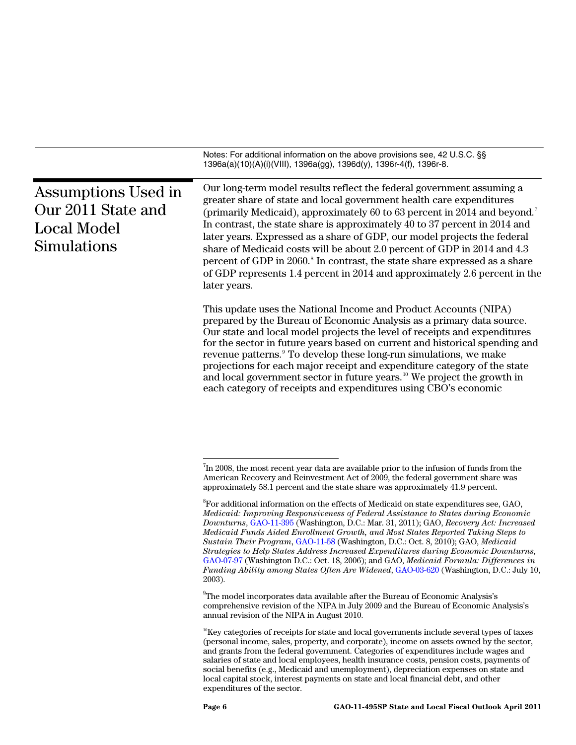|                                                                                | Notes: For additional information on the above provisions see, 42 U.S.C. §§<br>1396a(a)(10)(A)(i)(VIII), 1396a(gg), 1396d(y), 1396r-4(f), 1396r-8.                                                                                                                                                                                                                                                                                                                                                                                                                                                                                                                                                                                        |
|--------------------------------------------------------------------------------|-------------------------------------------------------------------------------------------------------------------------------------------------------------------------------------------------------------------------------------------------------------------------------------------------------------------------------------------------------------------------------------------------------------------------------------------------------------------------------------------------------------------------------------------------------------------------------------------------------------------------------------------------------------------------------------------------------------------------------------------|
| Assumptions Used in<br>Our 2011 State and<br><b>Local Model</b><br>Simulations | Our long-term model results reflect the federal government assuming a<br>greater share of state and local government health care expenditures<br>(primarily Medicaid), approximately 60 to 63 percent in 2014 and beyond. <sup>7</sup><br>In contrast, the state share is approximately 40 to 37 percent in 2014 and<br>later years. Expressed as a share of GDP, our model projects the federal<br>share of Medicaid costs will be about 2.0 percent of GDP in 2014 and 4.3<br>percent of GDP in 2060. <sup>8</sup> In contrast, the state share expressed as a share<br>of GDP represents 1.4 percent in 2014 and approximately 2.6 percent in the<br>later years.                                                                      |
|                                                                                | This update uses the National Income and Product Accounts (NIPA)<br>prepared by the Bureau of Economic Analysis as a primary data source.<br>Our state and local model projects the level of receipts and expenditures<br>for the sector in future years based on current and historical spending and<br>revenue patterns. <sup>9</sup> To develop these long-run simulations, we make<br>projections for each major receipt and expenditure category of the state<br>and local government sector in future years. <sup>10</sup> We project the growth in<br>each category of receipts and expenditures using CBO's economic                                                                                                              |
|                                                                                | <sup>7</sup> In 2008, the most recent year data are available prior to the infusion of funds from the<br>American Recovery and Reinvestment Act of 2009, the federal government share was<br>approximately 58.1 percent and the state share was approximately 41.9 percent.                                                                                                                                                                                                                                                                                                                                                                                                                                                               |
|                                                                                | ${}^{8}$ For additional information on the effects of Medicaid on state expenditures see, GAO,<br>Medicaid: Improving Responsiveness of Federal Assistance to States during Economic<br>Downturns, GAO-11-395 (Washington, D.C.: Mar. 31, 2011); GAO, Recovery Act: Increased<br>Medicaid Funds Aided Enrollment Growth, and Most States Reported Taking Steps to<br>Sustain Their Program, GAO-11-58 (Washington, D.C.: Oct. 8, 2010); GAO, Medicaid<br>Strategies to Help States Address Increased Expenditures during Economic Downturns,<br>GAO-07-97 (Washington D.C.: Oct. 18, 2006); and GAO, Medicaid Formula: Differences in<br>Funding Ability among States Often Are Widened, GAO-03-620 (Washington, D.C.: July 10,<br>2003). |
|                                                                                | <sup>9</sup> The model incorporates data available after the Bureau of Economic Analysis's<br>comprehensive revision of the NIPA in July 2009 and the Bureau of Economic Analysis's<br>annual revision of the NIPA in August 2010.                                                                                                                                                                                                                                                                                                                                                                                                                                                                                                        |
|                                                                                | <sup>10</sup> Key categories of receipts for state and local governments include several types of taxes<br>(personal income, sales, property, and corporate), income on assets owned by the sector,<br>and grants from the federal government. Categories of expenditures include wages and<br>salaries of state and local employees, health insurance costs, pension costs, payments of<br>social benefits (e.g., Medicaid and unemployment), depreciation expenses on state and<br>local capital stock, interest payments on state and local financial debt, and other                                                                                                                                                                  |

<span id="page-5-3"></span><span id="page-5-2"></span><span id="page-5-1"></span><span id="page-5-0"></span>expenditures of the sector.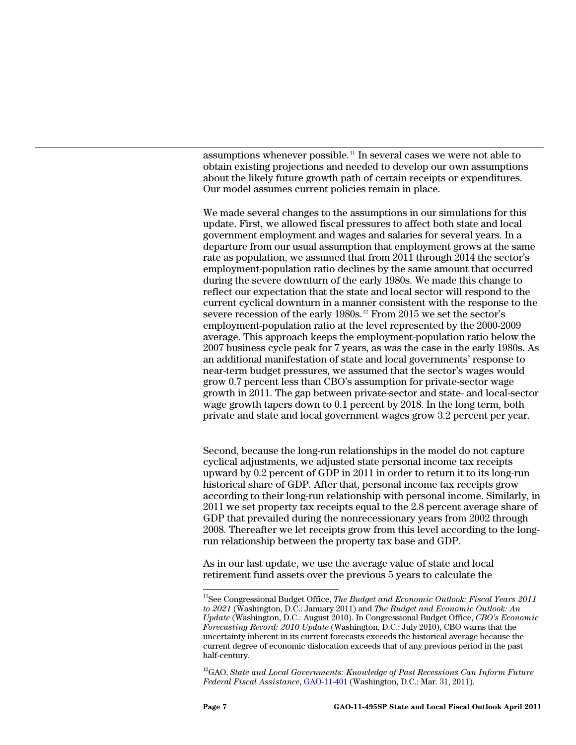assumptions whenever possible.[11](#page-6-0) In several cases we were not able to obtain existing projections and needed to develop our own assumptions about the likely future growth path of certain receipts or expenditures. Our model assumes current policies remain in place.

We made several changes to the assumptions in our simulations for this update. First, we allowed fiscal pressures to affect both state and local government employment and wages and salaries for several years. In a departure from our usual assumption that employment grows at the same rate as population, we assumed that from 2011 through 2014 the sector's employment-population ratio declines by the same amount that occurred during the severe downturn of the early 1980s. We made this change to reflect our expectation that the state and local sector will respond to the current cyclical downturn in a manner consistent with the response to the severe recession of the early 1980s.<sup>[12](#page-6-1)</sup> From 2015 we set the sector's employment-population ratio at the level represented by the 2000-2009 average. This approach keeps the employment-population ratio below the 2007 business cycle peak for 7 years, as was the case in the early 1980s. As an additional manifestation of state and local governments' response to near-term budget pressures, we assumed that the sector's wages would grow 0.7 percent less than CBO's assumption for private-sector wage growth in 2011. The gap between private-sector and state- and local-sector wage growth tapers down to 0.1 percent by 2018. In the long term, both private and state and local government wages grow 3.2 percent per year.

Second, because the long-run relationships in the model do not capture cyclical adjustments, we adjusted state personal income tax receipts upward by 0.2 percent of GDP in 2011 in order to return it to its long-run historical share of GDP. After that, personal income tax receipts grow according to their long-run relationship with personal income. Similarly, in 2011 we set property tax receipts equal to the 2.8 percent average share of GDP that prevailed during the nonrecessionary years from 2002 through 2008. Thereafter we let receipts grow from this level according to the longrun relationship between the property tax base and GDP.

As in our last update, we use the average value of state and local retirement fund assets over the previous 5 years to calculate the

<span id="page-6-1"></span><sup>12</sup>GAO, *State and Local Governments: Knowledge of Past Recessions Can Inform Future Federal Fiscal Assistance*, [GAO-11-401](http://www.gao.gov/products/GAO-11-401) (Washington, D.C.: Mar. 31, 2011).

 $\overline{1}$ 

<span id="page-6-0"></span><sup>11</sup>See Congressional Budget Office, *The Budget and Economic Outlook: Fiscal Years 2011 to 2021* (Washington, D.C.: January 2011) and *The Budget and Economic Outlook: An Update* (Washington, D.C.: August 2010). In Congressional Budget Office, *CBO's Economic Forecasting Record: 2010 Update* (Washington, D.C.: July 2010), CBO warns that the uncertainty inherent in its current forecasts exceeds the historical average because the current degree of economic dislocation exceeds that of any previous period in the past half-century.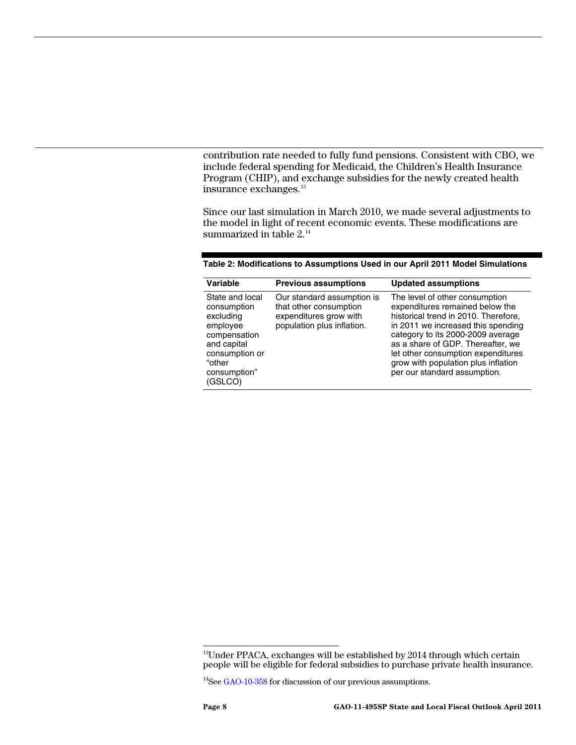contribution rate needed to fully fund pensions. Consistent with CBO, we include federal spending for Medicaid, the Children's Health Insurance Program (CHIP), and exchange subsidies for the newly created health insurance exchanges.<sup>[13](#page-7-0)</sup>

Since our last simulation in March 2010, we made several adjustments to the model in light of recent economic events. These modifications are summarized in table 2.<sup>[14](#page-7-1)</sup>

| Variable                                                                                                                                      | <b>Previous assumptions</b>                                                                                  | <b>Updated assumptions</b>                                                                                                                                                                                                                                                                                                             |
|-----------------------------------------------------------------------------------------------------------------------------------------------|--------------------------------------------------------------------------------------------------------------|----------------------------------------------------------------------------------------------------------------------------------------------------------------------------------------------------------------------------------------------------------------------------------------------------------------------------------------|
| State and local<br>consumption<br>excluding<br>employee<br>compensation<br>and capital<br>consumption or<br>"other<br>consumption"<br>(GSLCO) | Our standard assumption is<br>that other consumption<br>expenditures grow with<br>population plus inflation. | The level of other consumption<br>expenditures remained below the<br>historical trend in 2010. Therefore,<br>in 2011 we increased this spending<br>category to its 2000-2009 average<br>as a share of GDP. Thereafter, we<br>let other consumption expenditures<br>grow with population plus inflation<br>per our standard assumption. |

**Table 2: Modifications to Assumptions Used in our April 2011 Model Simulations** 

<span id="page-7-0"></span> $\overline{1}$  $13$ Under PPACA, exchanges will be established by 2014 through which certain people will be eligible for federal subsidies to purchase private health insurance.

<span id="page-7-1"></span><sup>&</sup>lt;sup>14</sup>See [GAO-10-358](http://www.gao.gov/products/GAO-09-358) for discussion of our previous assumptions.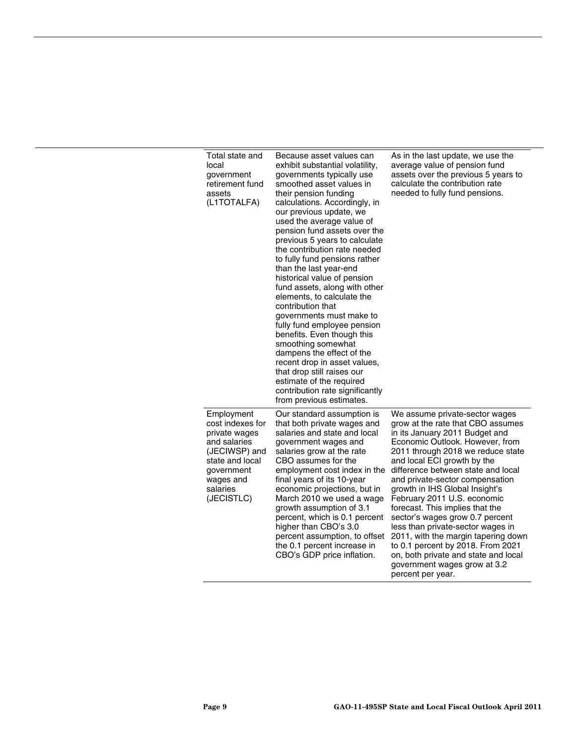| Total state and<br>local<br>government<br>retirement fund<br>assets<br>(L1TOTALFA)                                                                       | Because asset values can<br>exhibit substantial volatility,<br>governments typically use<br>smoothed asset values in<br>their pension funding<br>calculations. Accordingly, in<br>our previous update, we<br>used the average value of<br>pension fund assets over the<br>previous 5 years to calculate<br>the contribution rate needed<br>to fully fund pensions rather<br>than the last year-end<br>historical value of pension<br>fund assets, along with other<br>elements, to calculate the<br>contribution that<br>governments must make to<br>fully fund employee pension<br>benefits. Even though this<br>smoothing somewhat<br>dampens the effect of the<br>recent drop in asset values,<br>that drop still raises our<br>estimate of the required<br>contribution rate significantly<br>from previous estimates. | As in the last update, we use the<br>average value of pension fund<br>assets over the previous 5 years to<br>calculate the contribution rate<br>needed to fully fund pensions.                                                                                                                                                                                                                                                                                                                                                                                                                                                             |
|----------------------------------------------------------------------------------------------------------------------------------------------------------|----------------------------------------------------------------------------------------------------------------------------------------------------------------------------------------------------------------------------------------------------------------------------------------------------------------------------------------------------------------------------------------------------------------------------------------------------------------------------------------------------------------------------------------------------------------------------------------------------------------------------------------------------------------------------------------------------------------------------------------------------------------------------------------------------------------------------|--------------------------------------------------------------------------------------------------------------------------------------------------------------------------------------------------------------------------------------------------------------------------------------------------------------------------------------------------------------------------------------------------------------------------------------------------------------------------------------------------------------------------------------------------------------------------------------------------------------------------------------------|
| Employment<br>cost indexes for<br>private wages<br>and salaries<br>(JECIWSP) and<br>state and local<br>government<br>wages and<br>salaries<br>(JECISTLC) | Our standard assumption is<br>that both private wages and<br>salaries and state and local<br>government wages and<br>salaries grow at the rate<br>CBO assumes for the<br>employment cost index in the<br>final years of its 10-year<br>economic projections, but in<br>March 2010 we used a wage<br>growth assumption of 3.1<br>percent, which is 0.1 percent<br>higher than CBO's 3.0<br>percent assumption, to offset<br>the 0.1 percent increase in<br>CBO's GDP price inflation.                                                                                                                                                                                                                                                                                                                                       | We assume private-sector wages<br>grow at the rate that CBO assumes<br>in its January 2011 Budget and<br>Economic Outlook. However, from<br>2011 through 2018 we reduce state<br>and local ECI growth by the<br>difference between state and local<br>and private-sector compensation<br>growth in IHS Global Insight's<br>February 2011 U.S. economic<br>forecast. This implies that the<br>sector's wages grow 0.7 percent<br>less than private-sector wages in<br>2011, with the margin tapering down<br>to 0.1 percent by 2018. From 2021<br>on, both private and state and local<br>government wages grow at 3.2<br>percent per year. |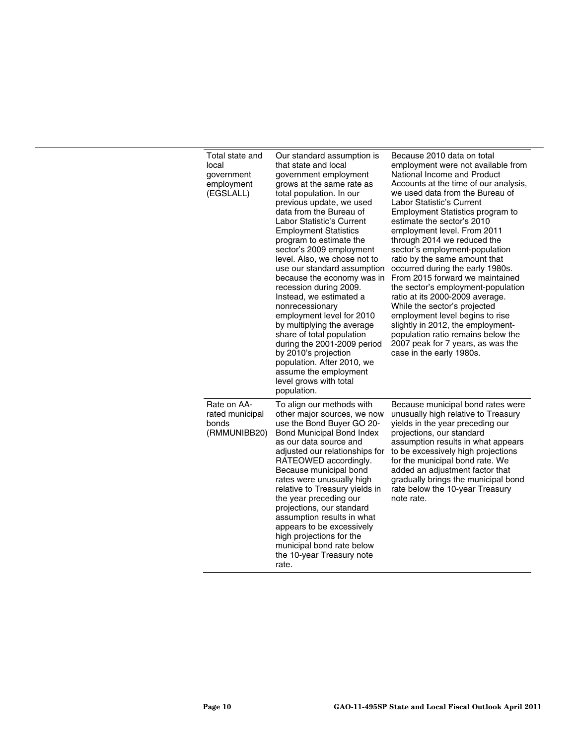| Total state and<br>local<br>government<br>employment<br>(EGSLALL) | Our standard assumption is<br>that state and local<br>government employment<br>grows at the same rate as<br>total population. In our<br>previous update, we used<br>data from the Bureau of<br>Labor Statistic's Current<br><b>Employment Statistics</b><br>program to estimate the<br>sector's 2009 employment<br>level. Also, we chose not to<br>use our standard assumption<br>because the economy was in<br>recession during 2009.<br>Instead, we estimated a<br>nonrecessionary<br>employment level for 2010<br>by multiplying the average<br>share of total population<br>during the 2001-2009 period<br>by 2010's projection<br>population. After 2010, we<br>assume the employment<br>level grows with total<br>population. | Because 2010 data on total<br>employment were not available from<br>National Income and Product<br>Accounts at the time of our analysis,<br>we used data from the Bureau of<br>Labor Statistic's Current<br><b>Employment Statistics program to</b><br>estimate the sector's 2010<br>employment level. From 2011<br>through 2014 we reduced the<br>sector's employment-population<br>ratio by the same amount that<br>occurred during the early 1980s.<br>From 2015 forward we maintained<br>the sector's employment-population<br>ratio at its 2000-2009 average.<br>While the sector's projected<br>employment level begins to rise<br>slightly in 2012, the employment-<br>population ratio remains below the<br>2007 peak for 7 years, as was the<br>case in the early 1980s. |
|-------------------------------------------------------------------|-------------------------------------------------------------------------------------------------------------------------------------------------------------------------------------------------------------------------------------------------------------------------------------------------------------------------------------------------------------------------------------------------------------------------------------------------------------------------------------------------------------------------------------------------------------------------------------------------------------------------------------------------------------------------------------------------------------------------------------|-----------------------------------------------------------------------------------------------------------------------------------------------------------------------------------------------------------------------------------------------------------------------------------------------------------------------------------------------------------------------------------------------------------------------------------------------------------------------------------------------------------------------------------------------------------------------------------------------------------------------------------------------------------------------------------------------------------------------------------------------------------------------------------|
| Rate on AA-<br>rated municipal<br>bonds<br>(RMMUNIBB20)           | To align our methods with<br>other major sources, we now<br>use the Bond Buyer GO 20-<br>Bond Municipal Bond Index<br>as our data source and<br>adjusted our relationships for<br>RATEOWED accordingly.<br>Because municipal bond<br>rates were unusually high<br>relative to Treasury yields in<br>the year preceding our<br>projections, our standard<br>assumption results in what<br>appears to be excessively<br>high projections for the<br>municipal bond rate below<br>the 10-year Treasury note<br>rate.                                                                                                                                                                                                                   | Because municipal bond rates were<br>unusually high relative to Treasury<br>yields in the year preceding our<br>projections, our standard<br>assumption results in what appears<br>to be excessively high projections<br>for the municipal bond rate. We<br>added an adjustment factor that<br>gradually brings the municipal bond<br>rate below the 10-year Treasury<br>note rate.                                                                                                                                                                                                                                                                                                                                                                                               |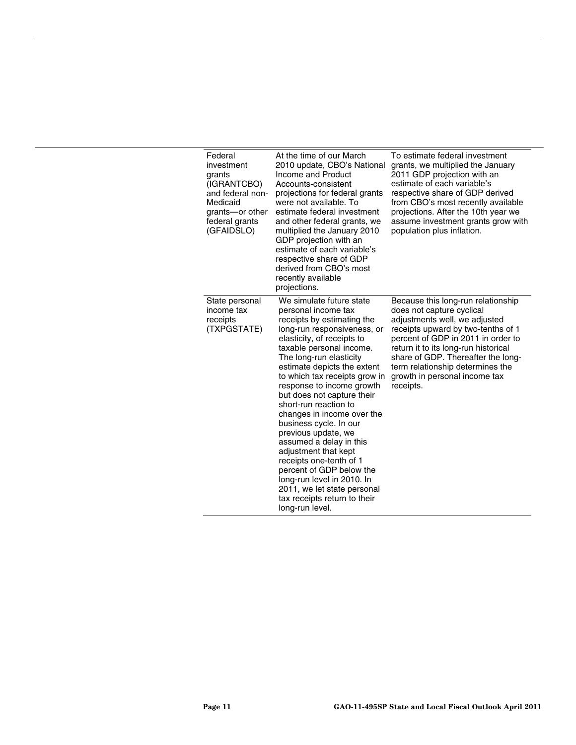| Federal<br>investment<br>grants<br>(IGRANTCBO)<br>and federal non-<br>Medicaid<br>grants-or other<br>federal grants<br>(GFAIDSLO) | At the time of our March<br>2010 update, CBO's National<br>Income and Product<br>Accounts-consistent<br>projections for federal grants<br>were not available. To<br>estimate federal investment<br>and other federal grants, we<br>multiplied the January 2010<br>GDP projection with an<br>estimate of each variable's<br>respective share of GDP<br>derived from CBO's most<br>recently available<br>projections.                                                                                                                                                                                                                                            | To estimate federal investment<br>grants, we multiplied the January<br>2011 GDP projection with an<br>estimate of each variable's<br>respective share of GDP derived<br>from CBO's most recently available<br>projections. After the 10th year we<br>assume investment grants grow with<br>population plus inflation.                        |
|-----------------------------------------------------------------------------------------------------------------------------------|----------------------------------------------------------------------------------------------------------------------------------------------------------------------------------------------------------------------------------------------------------------------------------------------------------------------------------------------------------------------------------------------------------------------------------------------------------------------------------------------------------------------------------------------------------------------------------------------------------------------------------------------------------------|----------------------------------------------------------------------------------------------------------------------------------------------------------------------------------------------------------------------------------------------------------------------------------------------------------------------------------------------|
| State personal<br>income tax<br>receipts<br>(TXPGSTATE)                                                                           | We simulate future state<br>personal income tax<br>receipts by estimating the<br>long-run responsiveness, or<br>elasticity, of receipts to<br>taxable personal income.<br>The long-run elasticity<br>estimate depicts the extent<br>to which tax receipts grow in<br>response to income growth<br>but does not capture their<br>short-run reaction to<br>changes in income over the<br>business cycle. In our<br>previous update, we<br>assumed a delay in this<br>adjustment that kept<br>receipts one-tenth of 1<br>percent of GDP below the<br>long-run level in 2010. In<br>2011, we let state personal<br>tax receipts return to their<br>long-run level. | Because this long-run relationship<br>does not capture cyclical<br>adjustments well, we adjusted<br>receipts upward by two-tenths of 1<br>percent of GDP in 2011 in order to<br>return it to its long-run historical<br>share of GDP. Thereafter the long-<br>term relationship determines the<br>growth in personal income tax<br>receipts. |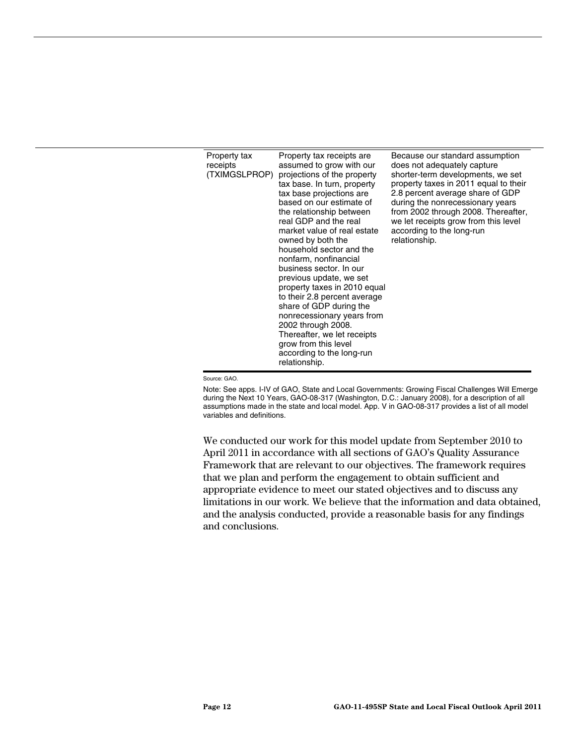| Property tax<br>receipts<br>(TXIMGSLPROP) | Property tax receipts are<br>assumed to grow with our<br>projections of the property<br>tax base. In turn, property<br>tax base projections are<br>based on our estimate of<br>the relationship between<br>real GDP and the real<br>market value of real estate<br>owned by both the<br>household sector and the<br>nonfarm, nonfinancial<br>business sector. In our<br>previous update, we set<br>property taxes in 2010 equal<br>to their 2.8 percent average<br>share of GDP during the<br>nonrecessionary years from<br>2002 through 2008.<br>Thereafter, we let receipts<br>grow from this level | Because our standard assumption<br>does not adequately capture<br>shorter-term developments, we set<br>property taxes in 2011 equal to their<br>2.8 percent average share of GDP<br>during the nonrecessionary years<br>from 2002 through 2008. Thereafter,<br>we let receipts grow from this level<br>according to the long-run<br>relationship. |
|-------------------------------------------|-------------------------------------------------------------------------------------------------------------------------------------------------------------------------------------------------------------------------------------------------------------------------------------------------------------------------------------------------------------------------------------------------------------------------------------------------------------------------------------------------------------------------------------------------------------------------------------------------------|---------------------------------------------------------------------------------------------------------------------------------------------------------------------------------------------------------------------------------------------------------------------------------------------------------------------------------------------------|
|                                           | according to the long-run<br>relationship.                                                                                                                                                                                                                                                                                                                                                                                                                                                                                                                                                            |                                                                                                                                                                                                                                                                                                                                                   |

Source: GAO.

Note: See apps. I-IV of GAO, State and Local Governments: Growing Fiscal Challenges Will Emerge during the Next 10 Years, GAO-08-317 (Washington, D.C.: January 2008), for a description of all assumptions made in the state and local model. App. V in GAO-08-317 provides a list of all model variables and definitions.

We conducted our work for this model update from September 2010 to April 2011 in accordance with all sections of GAO's Quality Assurance Framework that are relevant to our objectives. The framework requires that we plan and perform the engagement to obtain sufficient and appropriate evidence to meet our stated objectives and to discuss any limitations in our work. We believe that the information and data obtained, and the analysis conducted, provide a reasonable basis for any findings and conclusions.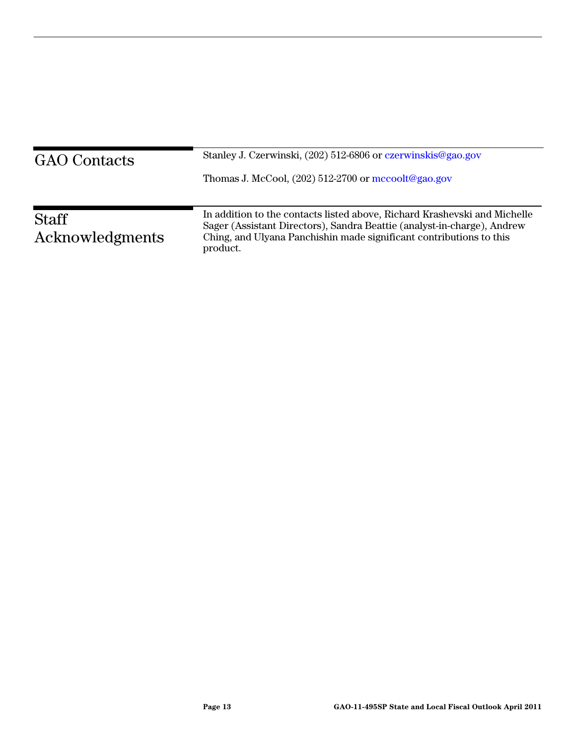| <b>GAO</b> Contacts             | Stanley J. Czerwinski, (202) 512-6806 or czerwinskis@gao.gov<br>Thomas J. McCool, $(202)$ 512-2700 or mccoolt@gao.gov                                                                                                                   |
|---------------------------------|-----------------------------------------------------------------------------------------------------------------------------------------------------------------------------------------------------------------------------------------|
| <b>Staff</b><br>Acknowledgments | In addition to the contacts listed above, Richard Krashevski and Michelle<br>Sager (Assistant Directors), Sandra Beattie (analyst-in-charge), Andrew<br>Ching, and Ulyana Panchishin made significant contributions to this<br>product. |